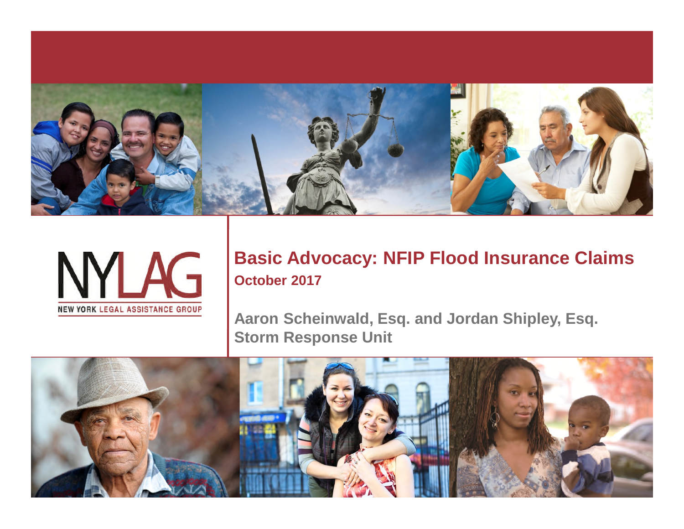



#### **Basic Advocacy: NFIP Flood Insurance Claims October 2017**

**Aaron Scheinwald, Esq. and Jordan Shipley, Esq. Storm Response Unit**

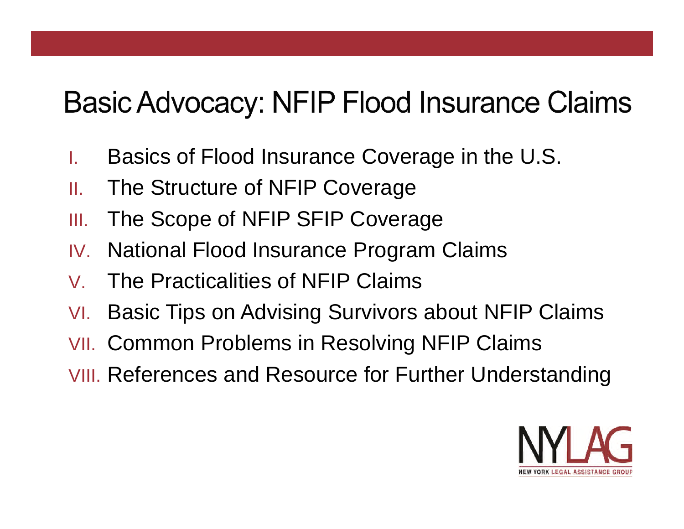### **Basic Advocacy: NFIP Flood Insurance Claims**

- I. Basics of Flood Insurance Coverage in the U.S.
- II. The Structure of NFIP Coverage
- III. The Scope of NFIP SFIP Coverage
- IV. National Flood Insurance Program Claims
- V. The Practicalities of NFIP Claims
- VI. Basic Tips on Advising Survivors about NFIP Claims
- VII. Common Problems in Resolving NFIP Claims
- VIII. References and Resource for Further Understanding

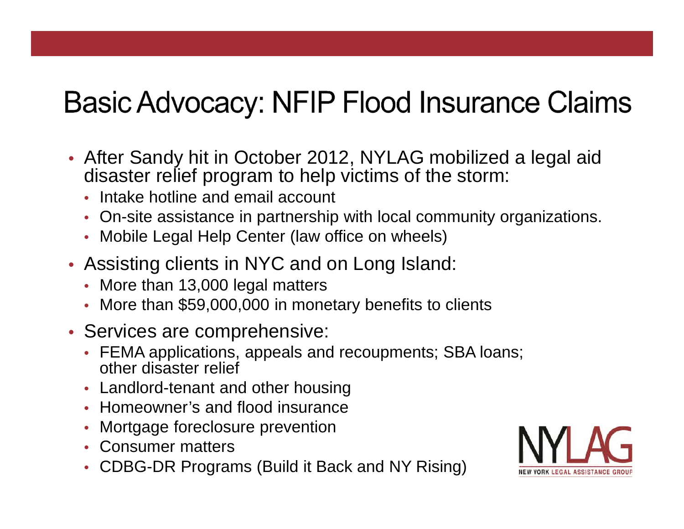### **Basic Advocacy: NFIP Flood Insurance Claims**

- After Sandy hit in October 2012, NYLAG mobilized a legal aid disaster relief program to help victims of the storm:
	- Intake hotline and email account
	- On-site assistance in partnership with local community organizations.
	- Mobile Legal Help Center (law office on wheels)
- Assisting clients in NYC and on Long Island:
	- More than 13,000 legal matters
	- More than \$59,000,000 in monetary benefits to clients
- Services are comprehensive:
	- FEMA applications, appeals and recoupments; SBA loans; other disaster relief
	- Landlord-tenant and other housing
	- Homeowner's and flood insurance
	- Mortgage foreclosure prevention
	- Consumer matters
	- CDBG-DR Programs (Build it Back and NY Rising)

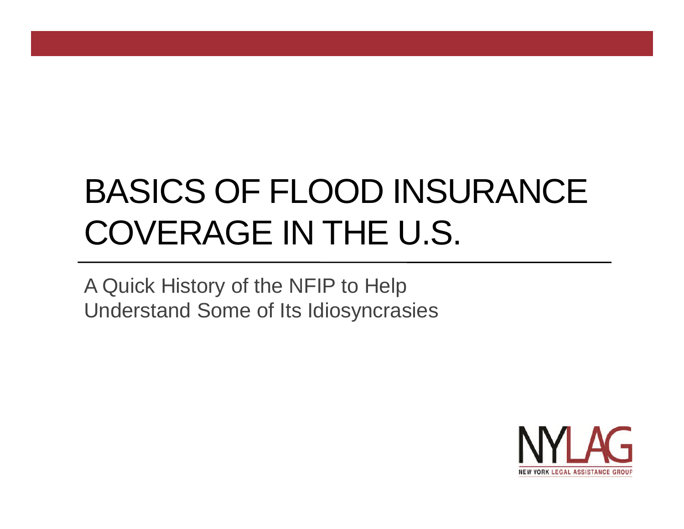# BASICS OF FLOOD INSURANCE COVERAGE IN THE U.S.

A Quick History of the NFIP to Help Understand Some of Its Idiosyncrasies

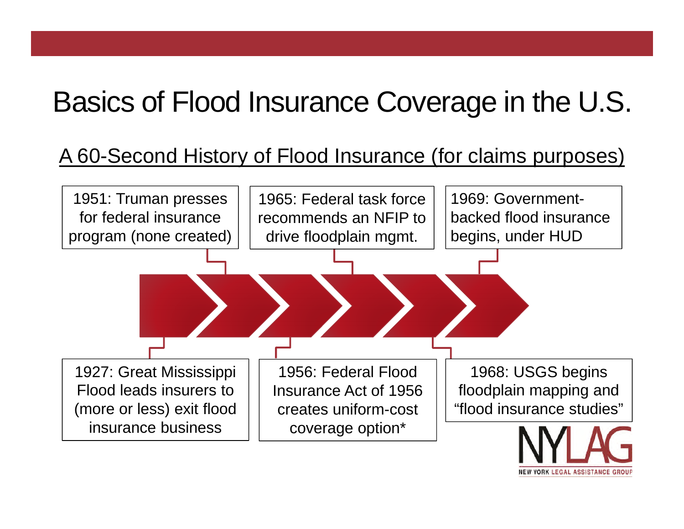### Basics of Flood Insurance Coverage in the U.S.

#### A 60-Second History of Flood Insurance (for claims purposes)

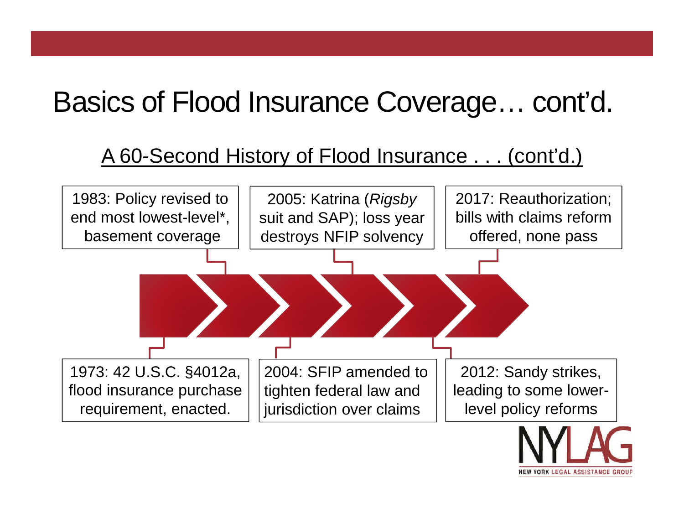### Basics of Flood Insurance Coverage… cont'd.

#### A 60-Second History of Flood Insurance . . . (cont'd.)



ORK LEGAL ASSISTANC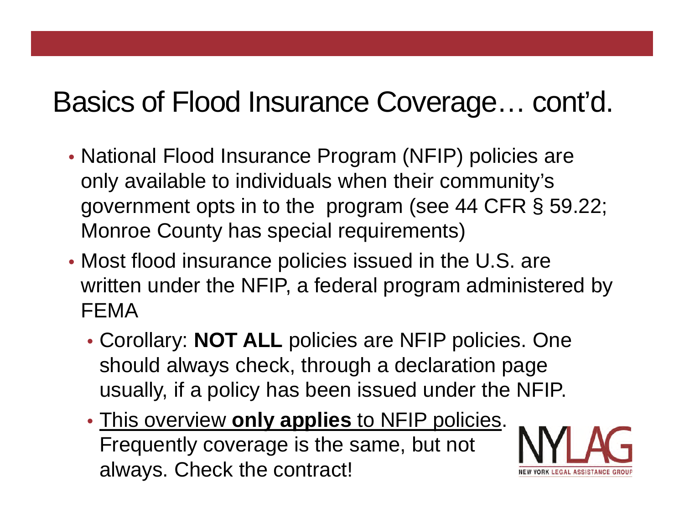### Basics of Flood Insurance Coverage… cont'd.

- National Flood Insurance Program (NFIP) policies are only available to individuals when their community's government opts in to the program (see 44 CFR § 59.22; Monroe County has special requirements)
- Most flood insurance policies issued in the U.S. are written under the NFIP, a federal program administered by FEMA
	- Corollary: **NOT ALL** policies are NFIP policies. One should always check, through a declaration page usually, if a policy has been issued under the NFIP.
	- This overview **only applies** to NFIP policies. Frequently coverage is the same, but not always. Check the contract!

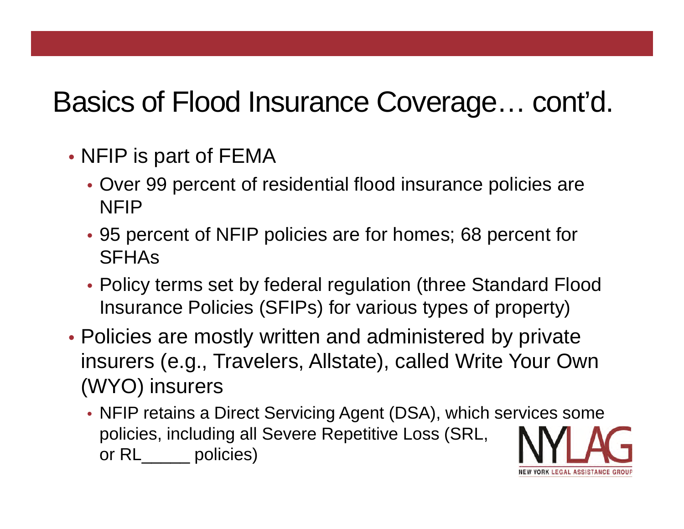### Basics of Flood Insurance Coverage… cont'd.

- NFIP is part of FEMA
	- Over 99 percent of residential flood insurance policies are NFIP
	- 95 percent of NFIP policies are for homes; 68 percent for **SFHAs**
	- Policy terms set by federal regulation (three Standard Flood Insurance Policies (SFIPs) for various types of property)
- Policies are mostly written and administered by private insurers (e.g., Travelers, Allstate), called Write Your Own (WYO) insurers
	- NFIP retains a Direct Servicing Agent (DSA), which services some policies, including all Severe Repetitive Loss (SRL, or RL\_\_\_\_\_ policies)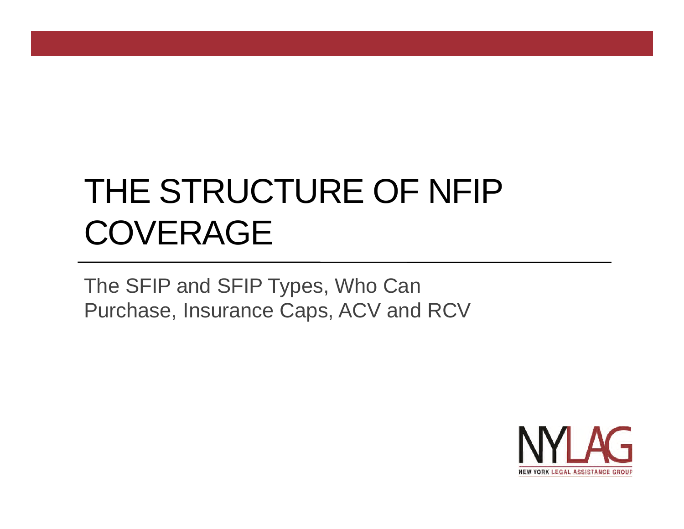# THE STRUCTURE OF NFIP **COVERAGE**

The SFIP and SFIP Types, Who Can Purchase, Insurance Caps, ACV and RCV

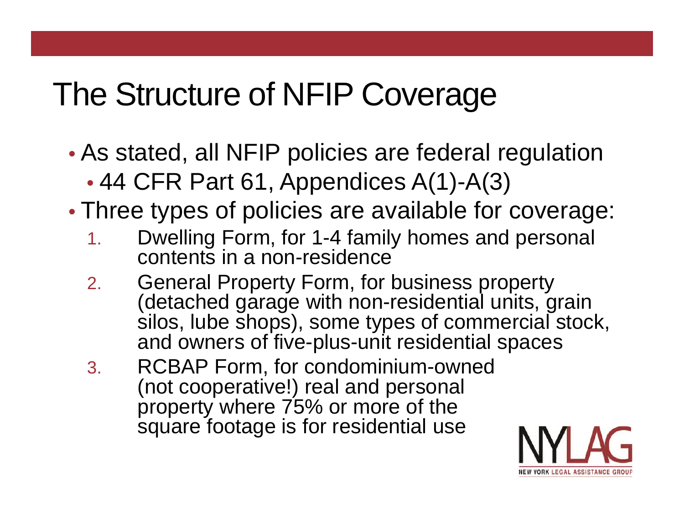## The Structure of NFIP Coverage

- As stated, all NFIP policies are federal regulation
	- 44 CFR Part 61, Appendices A(1)-A(3)
- Three types of policies are available for coverage:
	- 1. Dwelling Form, for 1-4 family homes and personal contents in a non-residence
	- 2. General Property Form, for business property (detached garage with non-residential units, grain silos, lube shops), some types of commercial stock, and owners of five-plus-unit residential spaces
	- 3. RCBAP Form, for condominium-owned (not cooperative!) real and personal property where 75% or more of the square footage is for residential use

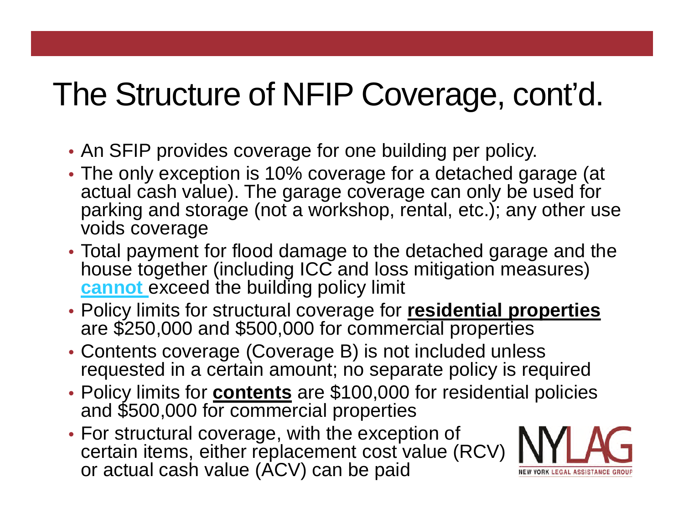- An SFIP provides coverage for one building per policy.
- The only exception is 10% coverage for a detached garage (at actual cash value). The garage coverage can only be used for parking and storage (not a workshop, rental, etc.); any other use voids coverage
- Total payment for flood damage to the detached garage and the house together (including ICC and loss mitigation measures) **cannot** exceed the building policy limit
- Policy limits for structural coverage for **residential properties** are \$250,000 and \$500,000 for commercial properties
- Contents coverage (Coverage B) is not included unless requested in a certain amount; no separate policy is required
- Policy limits for **contents** are \$100,000 for residential policies and \$500,000 for commercial properties
- For structural coverage, with the exception of certain items, either replacement cost value (RCV) or actual cash value (ACV) can be paid

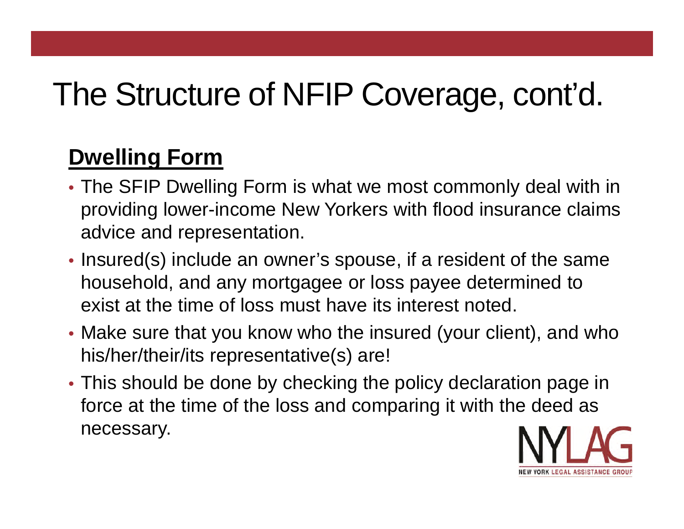#### **Dwelling Form**

- The SFIP Dwelling Form is what we most commonly deal with in providing lower-income New Yorkers with flood insurance claims advice and representation.
- Insured(s) include an owner's spouse, if a resident of the same household, and any mortgagee or loss payee determined to exist at the time of loss must have its interest noted.
- Make sure that you know who the insured (your client), and who his/her/their/its representative(s) are!
- This should be done by checking the policy declaration page in force at the time of the loss and comparing it with the deed as necessary.

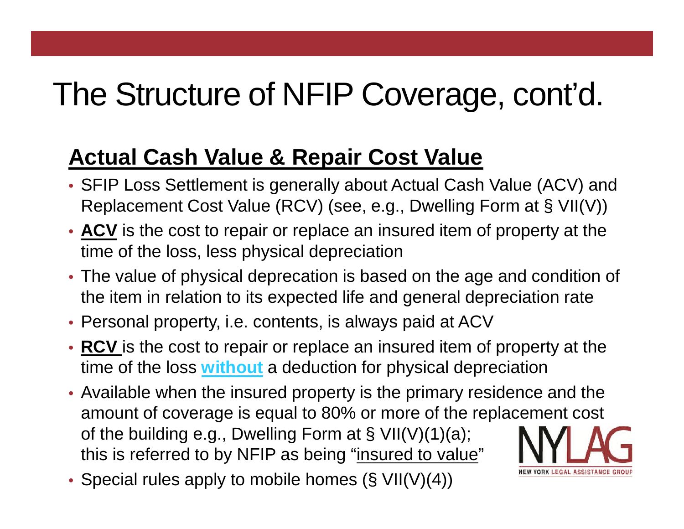#### **Actual Cash Value & Repair Cost Value**

- SFIP Loss Settlement is generally about Actual Cash Value (ACV) and Replacement Cost Value (RCV) (see, e.g., Dwelling Form at § VII(V))
- **ACV** is the cost to repair or replace an insured item of property at the time of the loss, less physical depreciation
- The value of physical deprecation is based on the age and condition of the item in relation to its expected life and general depreciation rate
- Personal property, i.e. contents, is always paid at ACV
- **RCV** is the cost to repair or replace an insured item of property at the time of the loss **without** a deduction for physical depreciation
- Available when the insured property is the primary residence and the amount of coverage is equal to 80% or more of the replacement cost of the building e.g., Dwelling Form at § VII(V)(1)(a); this is referred to by NFIP as being "insured to value"

**RK LEGAL ASSISTAND** 

• Special rules apply to mobile homes (§ VII(V)(4))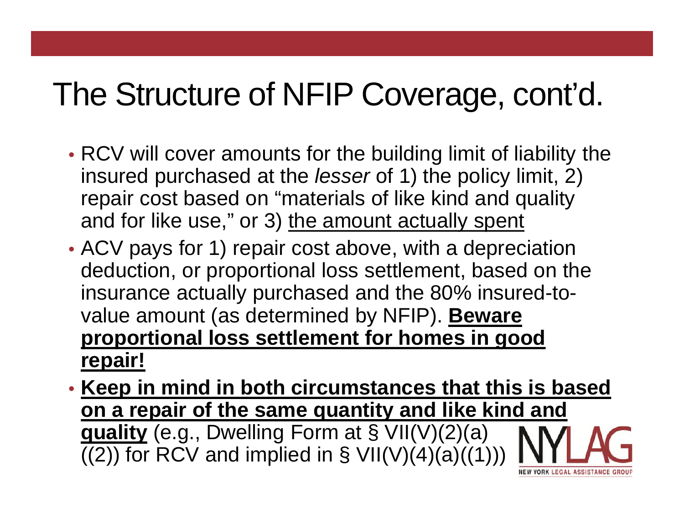- RCV will cover amounts for the building limit of liability the insured purchased at the *lesser* of 1) the policy limit, 2) repair cost based on "materials of like kind and quality and for like use," or 3) the amount actually spent
- ACV pays for 1) repair cost above, with a depreciation deduction, or proportional loss settlement, based on the insurance actually purchased and the 80% insured-tovalue amount (as determined by NFIP). **Beware proportional loss settlement for homes in good repair!**
- **Keep in mind in both circumstances that this is based on a repair of the same quantity and like kind and quality** (e.g., Dwelling Form at § VII(V)(2)(a)  $((2))$  for RCV and implied in § VII(V)(4)(a)((1))) *YORK LEGAL ASSISTAND*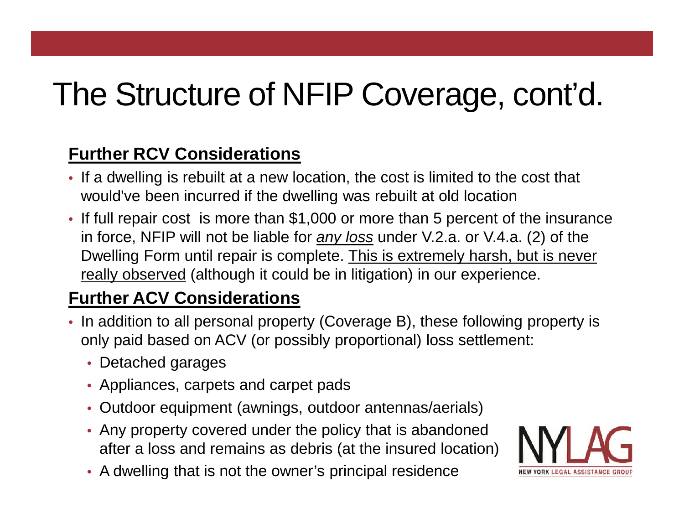#### **Further RCV Considerations**

- If a dwelling is rebuilt at a new location, the cost is limited to the cost that would've been incurred if the dwelling was rebuilt at old location
- If full repair cost is more than \$1,000 or more than 5 percent of the insurance in force, NFIP will not be liable for *any loss* under V.2.a. or V.4.a. (2) of the Dwelling Form until repair is complete. This is extremely harsh, but is never really observed (although it could be in litigation) in our experience.

#### **Further ACV Considerations**

- In addition to all personal property (Coverage B), these following property is only paid based on ACV (or possibly proportional) loss settlement:
	- Detached garages
	- Appliances, carpets and carpet pads
	- Outdoor equipment (awnings, outdoor antennas/aerials)
	- Any property covered under the policy that is abandoned after a loss and remains as debris (at the insured location)
	- A dwelling that is not the owner's principal residence

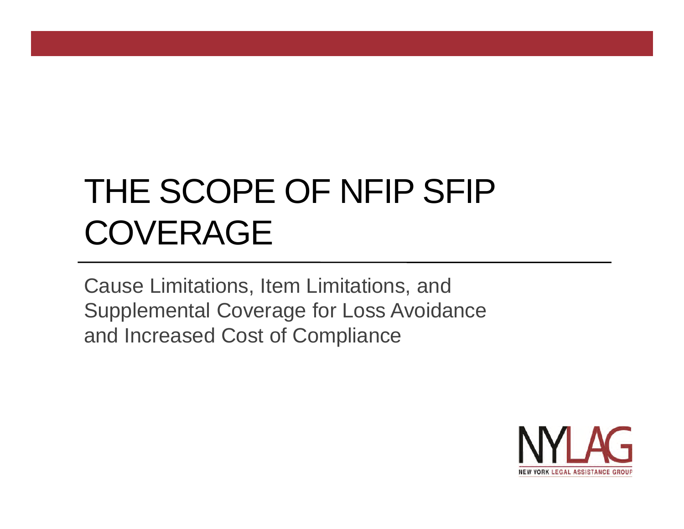# THE SCOPE OF NFIP SFIP COVERAGE

Cause Limitations, Item Limitations, and Supplemental Coverage for Loss Avoidance and Increased Cost of Compliance

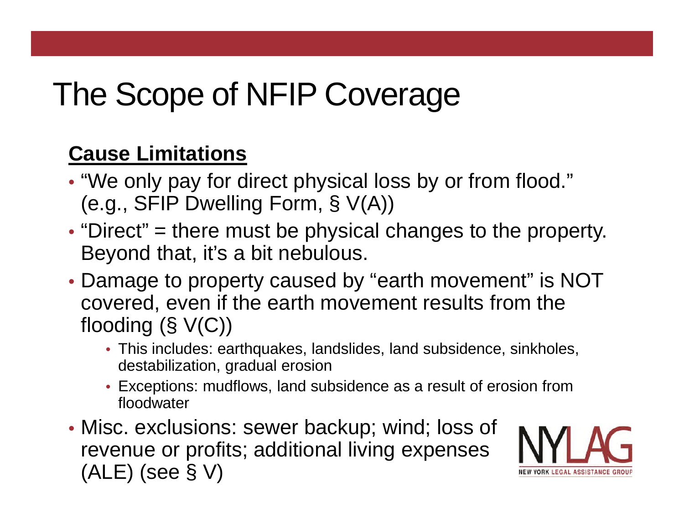# The Scope of NFIP Coverage

#### **Cause Limitations**

- "We only pay for direct physical loss by or from flood." (e.g., SFIP Dwelling Form, § V(A))
- "Direct" = there must be physical changes to the property. Beyond that, it's a bit nebulous.
- Damage to property caused by "earth movement" is NOT covered, even if the earth movement results from the flooding (§ V(C))
	- This includes: earthquakes, landslides, land subsidence, sinkholes, destabilization, gradual erosion
	- Exceptions: mudflows, land subsidence as a result of erosion from floodwater
- Misc. exclusions: sewer backup; wind; loss of revenue or profits; additional living expenses (ALE) (see § V)

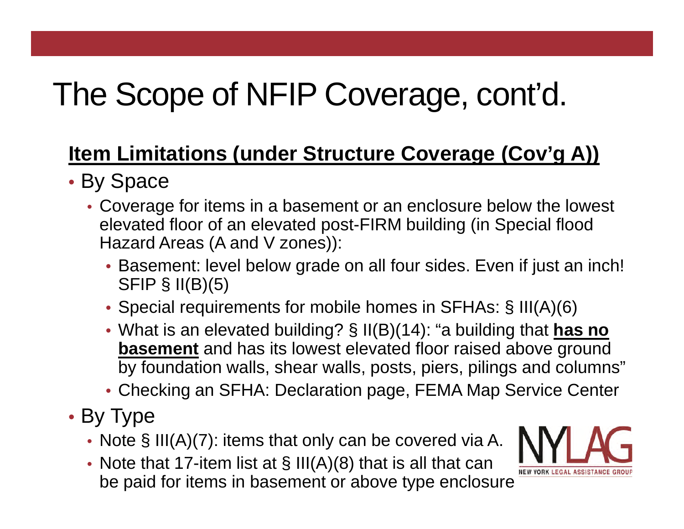#### **Item Limitations (under Structure Coverage (Cov'g A))**

- By Space
	- Coverage for items in a basement or an enclosure below the lowest elevated floor of an elevated post-FIRM building (in Special flood Hazard Areas (A and V zones)):
		- Basement: level below grade on all four sides. Even if just an inch! SFIP  $\S$  II(B)(5)
		- Special requirements for mobile homes in SFHAs: § III(A)(6)
		- What is an elevated building? § II(B)(14): "a building that **has no basement** and has its lowest elevated floor raised above ground by foundation walls, shear walls, posts, piers, pilings and columns"
		- Checking an SFHA: Declaration page, FEMA Map Service Center
- By Type
	- Note § III(A)(7): items that only can be covered via A.
	- Note that 17-item list at  $\S$  III(A)(8) that is all that can be paid for items in basement or above type enclosure

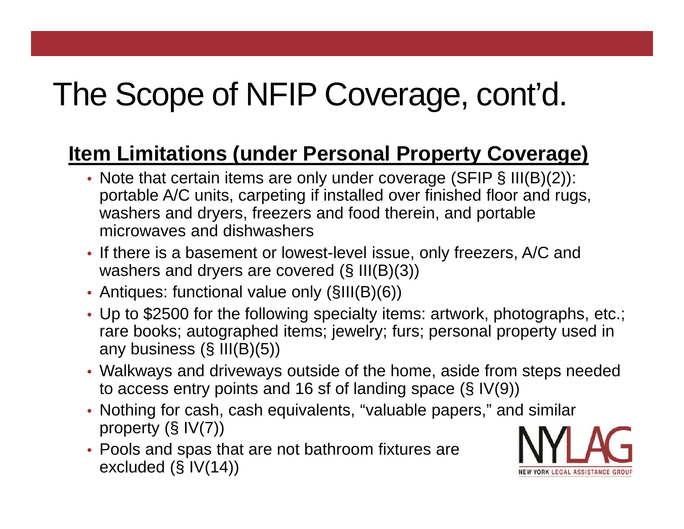#### **Item Limitations (under Personal Property Coverage)**

- Note that certain items are only under coverage (SFIP § III(B)(2)): portable A/C units, carpeting if installed over finished floor and rugs, washers and dryers, freezers and food therein, and portable microwaves and dishwashers
- If there is a basement or lowest-level issue, only freezers, A/C and washers and dryers are covered (§ III(B)(3))
- Antiques: functional value only (§III(B)(6))
- Up to \$2500 for the following specialty items: artwork, photographs, etc.; rare books; autographed items; jewelry; furs; personal property used in any business (§ III(B)(5))
- Walkways and driveways outside of the home, aside from steps needed to access entry points and 16 sf of landing space (§ IV(9))
- Nothing for cash, cash equivalents, "valuable papers," and similar property (§ IV(7))
- Pools and spas that are not bathroom fixtures are excluded (§ IV(14))

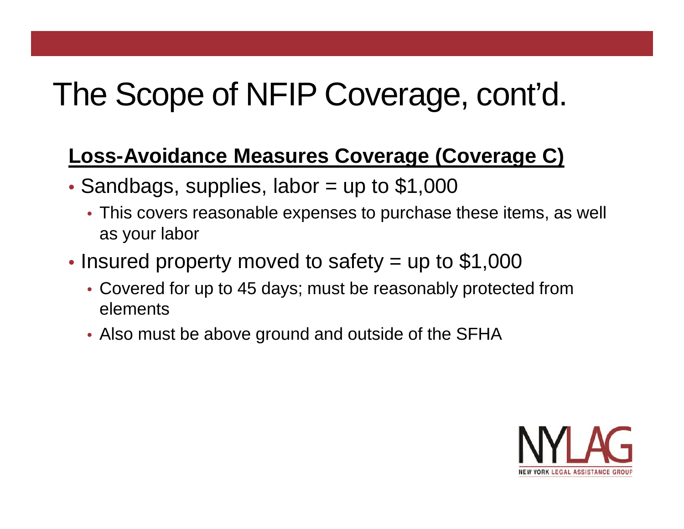#### **Loss-Avoidance Measures Coverage (Coverage C)**

- Sandbags, supplies, labor  $=$  up to \$1,000
	- This covers reasonable expenses to purchase these items, as well as your labor
- Insured property moved to safety = up to \$1,000
	- Covered for up to 45 days; must be reasonably protected from elements
	- Also must be above ground and outside of the SFHA

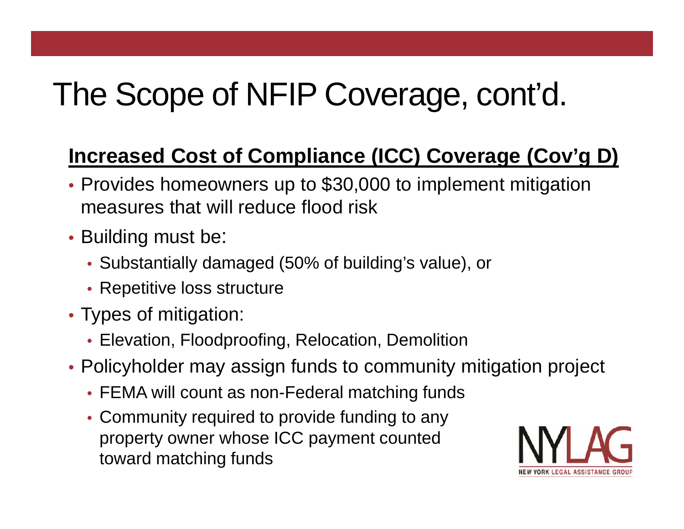#### **Increased Cost of Compliance (ICC) Coverage (Cov'g D)**

- Provides homeowners up to \$30,000 to implement mitigation measures that will reduce flood risk
- Building must be:
	- Substantially damaged (50% of building's value), or
	- Repetitive loss structure
- Types of mitigation:
	- Elevation, Floodproofing, Relocation, Demolition
- Policyholder may assign funds to community mitigation project
	- FEMA will count as non-Federal matching funds
	- Community required to provide funding to any property owner whose ICC payment counted toward matching funds

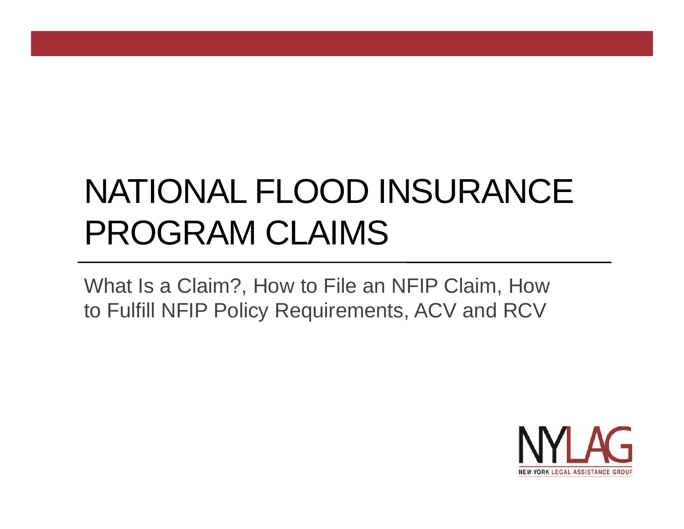# NATIONAL FLOOD INSURANCE PROGRAM CLAIMS

What Is a Claim?, How to File an NFIP Claim, How to Fulfill NFIP Policy Requirements, ACV and RCV

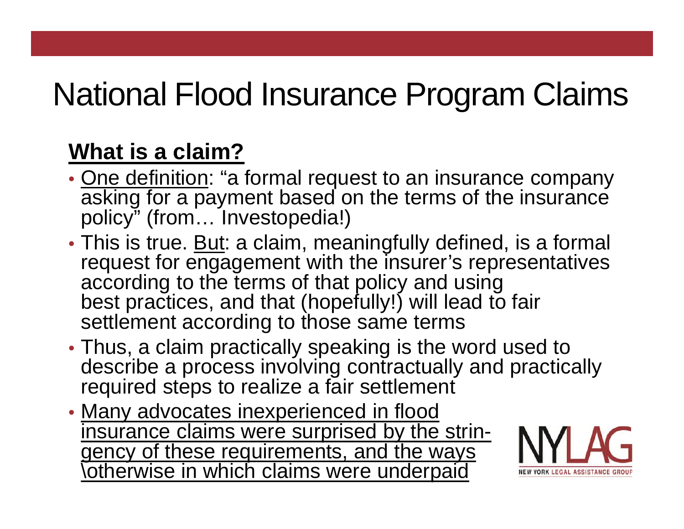# National Flood Insurance Program Claims

#### **What is a claim?**

- One definition: "a formal request to an insurance company asking for a payment based on the terms of the insurance policy" (from... Investopedia!)
- This is true. But: a claim, meaningfully defined, is a formal request for engagement with the insurer's representatives according to the terms of that policy and using best practices, and that (hopefully!) will lead to fair settlement according to those same terms
- Thus, a claim practically speaking is the word used to describe a process involving contractually and practically required steps to realize a fair settlement
- Many advocates inexperienced in flood insurance claims were surprised by the stringency of these requirements, and the ways \otherwise in which claims were underpaid

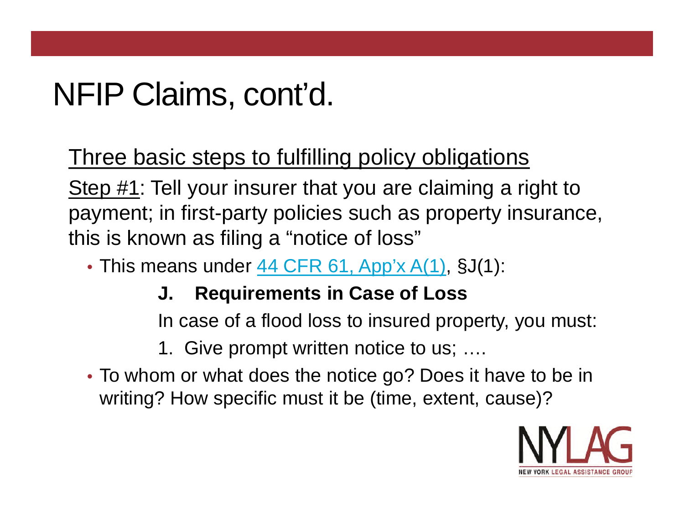Three basic steps to fulfilling policy obligations

Step #1: Tell your insurer that you are claiming a right to payment; in first-party policies such as property insurance, this is known as filing a "notice of loss"

• This means under 44 CFR 61, App'x A(1), §J(1):

#### **J. Requirements in Case of Loss**

In case of a flood loss to insured property, you must:

1. Give prompt written notice to us; ….

• To whom or what does the notice go? Does it have to be in writing? How specific must it be (time, extent, cause)?

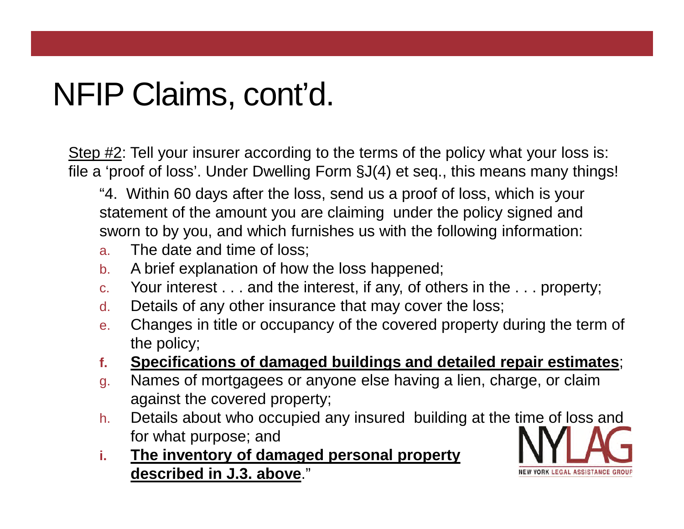Step #2: Tell your insurer according to the terms of the policy what your loss is: file a 'proof of loss'. Under Dwelling Form §J(4) et seq., this means many things!

"4. Within 60 days after the loss, send us a proof of loss, which is your statement of the amount you are claiming under the policy signed and sworn to by you, and which furnishes us with the following information:

- a. The date and time of loss;
- b. A brief explanation of how the loss happened;
- c. Your interest . . . and the interest, if any, of others in the . . . property;
- d. Details of any other insurance that may cover the loss;
- e. Changes in title or occupancy of the covered property during the term of the policy;
- **f. Specifications of damaged buildings and detailed repair estimates**;
- g. Names of mortgagees or anyone else having a lien, charge, or claim against the covered property;
- h. Details about who occupied any insured building at the time of loss and for what purpose; and
- **i. The inventory of damaged personal property described in J.3. above**."

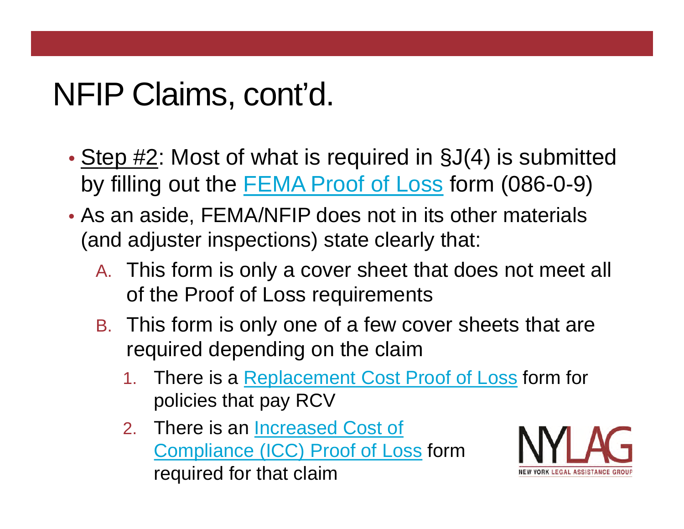- Step #2: Most of what is required in §J(4) is submitted by filling out the FEMA Proof of Loss form (086-0-9)
- As an aside, FEMA/NFIP does not in its other materials (and adjuster inspections) state clearly that:
	- A. This form is only a cover sheet that does not meet all of the Proof of Loss requirements
	- B. This form is only one of a few cover sheets that are required depending on the claim
		- 1. There is a Replacement Cost Proof of Loss form for policies that pay RCV
		- 2. There is an Increased Cost of Compliance (ICC) Proof of Loss form required for that claim

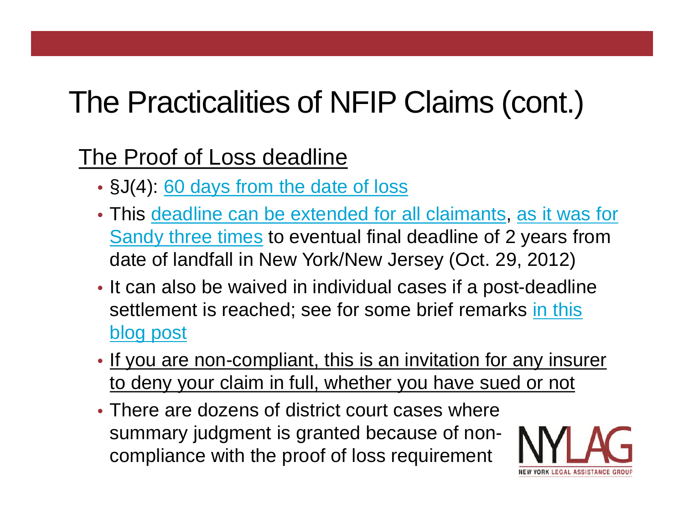#### The Proof of Loss deadline

- §J(4): 60 days from the date of loss
- This deadline can be extended for all claimants, as it was for Sandy three times to eventual final deadline of 2 years from date of landfall in New York/New Jersey (Oct. 29, 2012)
- It can also be waived in individual cases if a post-deadline settlement is reached; see for some brief remarks in this blog post
- If you are non-compliant, this is an invitation for any insurer to deny your claim in full, whether you have sued or not
- There are dozens of district court cases where summary judgment is granted because of noncompliance with the proof of loss requirement

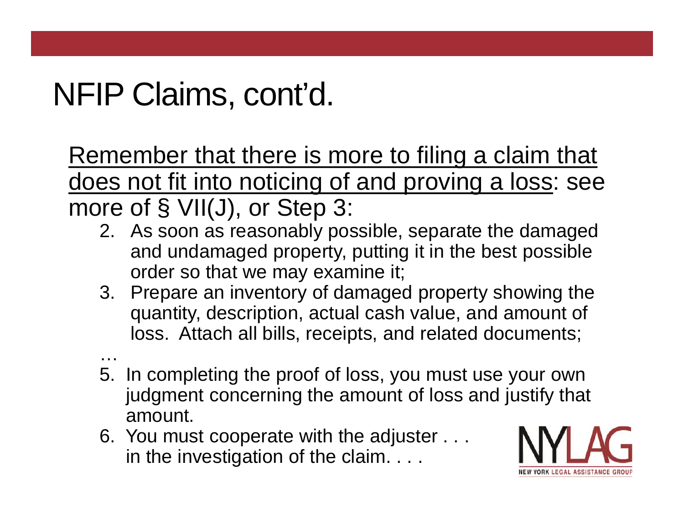Remember that there is more to filing a claim that does not fit into noticing of and proving a loss: see more of § VII(J), or Step 3:

- 2. As soon as reasonably possible, separate the damaged and undamaged property, putting it in the best possible order so that we may examine it;
- 3. Prepare an inventory of damaged property showing the quantity, description, actual cash value, and amount of loss. Attach all bills, receipts, and related documents;
- … 5. In completing the proof of loss, you must use your own judgment concerning the amount of loss and justify that amount.
- 6. You must cooperate with the adjuster . . . in the investigation of the claim. . . .

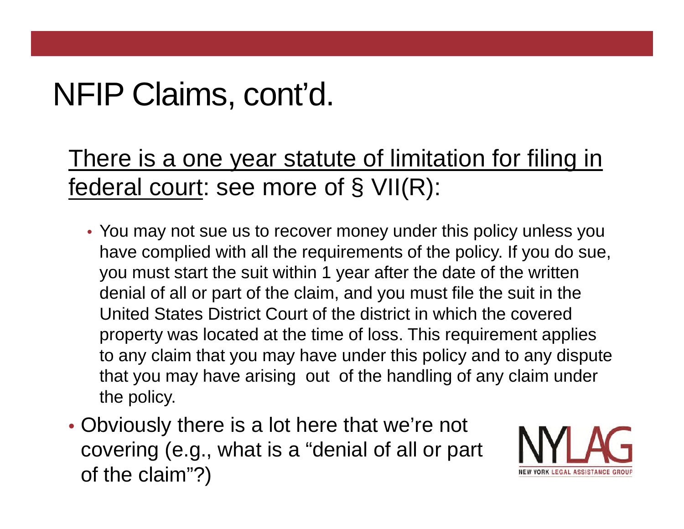#### There is a one year statute of limitation for filing in federal court: see more of § VII(R):

- You may not sue us to recover money under this policy unless you have complied with all the requirements of the policy. If you do sue, you must start the suit within 1 year after the date of the written denial of all or part of the claim, and you must file the suit in the United States District Court of the district in which the covered property was located at the time of loss. This requirement applies to any claim that you may have under this policy and to any dispute that you may have arising out of the handling of any claim under the policy.
- Obviously there is a lot here that we're not covering (e.g., what is a "denial of all or part of the claim"?)

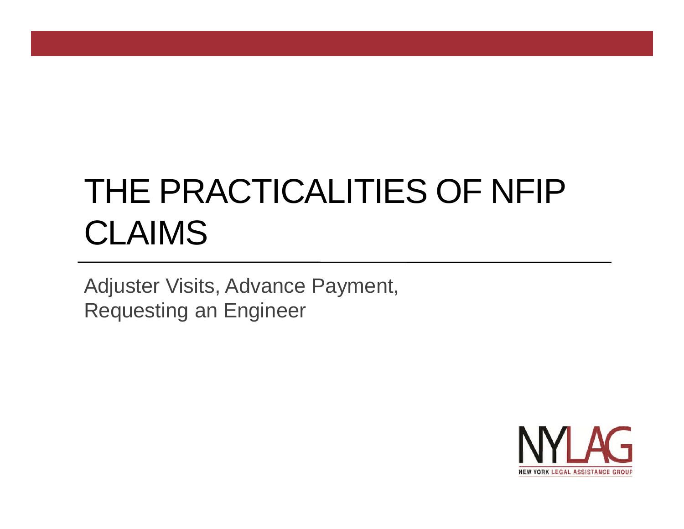# THE PRACTICALITIES OF NFIP CLAIMS

Adjuster Visits, Advance Payment, Requesting an Engineer

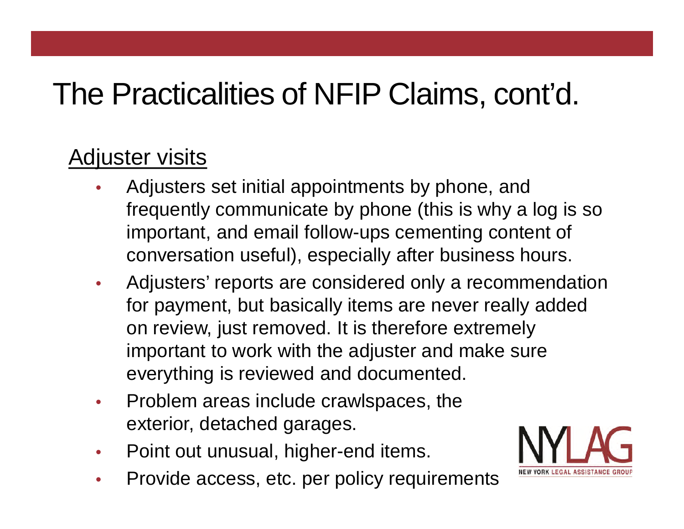#### Adjuster visits

- Adjusters set initial appointments by phone, and frequently communicate by phone (this is why a log is so important, and email follow-ups cementing content of conversation useful), especially after business hours.
- Adjusters' reports are considered only a recommendation for payment, but basically items are never really added on review, just removed. It is therefore extremely important to work with the adjuster and make sure everything is reviewed and documented.
- Problem areas include crawlspaces, the exterior, detached garages.
- Point out unusual, higher-end items.
- Provide access, etc. per policy requirements

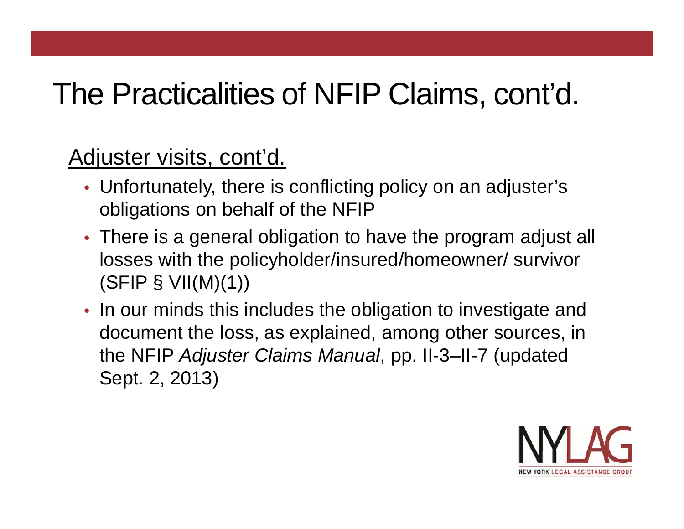#### Adjuster visits, cont'd.

- Unfortunately, there is conflicting policy on an adjuster's obligations on behalf of the NFIP
- There is a general obligation to have the program adjust all losses with the policyholder/insured/homeowner/ survivor (SFIP § VII(M)(1))
- In our minds this includes the obligation to investigate and document the loss, as explained, among other sources, in the NFIP *Adjuster Claims Manual*, pp. II-3–II-7 (updated Sept. 2, 2013)

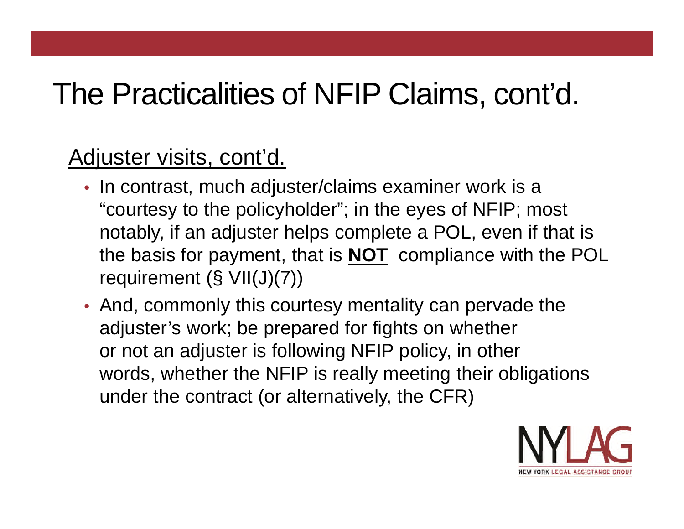#### Adjuster visits, cont'd.

- In contrast, much adjuster/claims examiner work is a "courtesy to the policyholder"; in the eyes of NFIP; most notably, if an adjuster helps complete a POL, even if that is the basis for payment, that is **NOT** compliance with the POL requirement (§ VII(J)(7))
- And, commonly this courtesy mentality can pervade the adjuster's work; be prepared for fights on whether or not an adjuster is following NFIP policy, in other words, whether the NFIP is really meeting their obligations under the contract (or alternatively, the CFR)

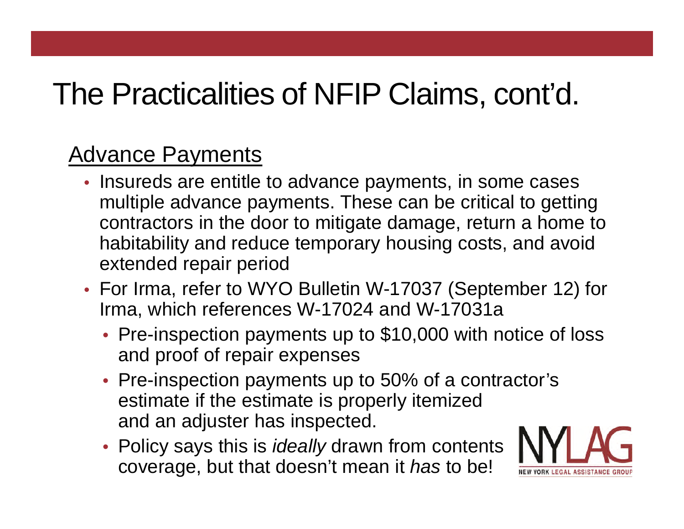#### Advance Payments

- Insureds are entitle to advance payments, in some cases multiple advance payments. These can be critical to getting contractors in the door to mitigate damage, return a home to habitability and reduce temporary housing costs, and avoid extended repair period
- For Irma, refer to WYO Bulletin W-17037 (September 12) for Irma, which references W-17024 and W-17031a
	- Pre-inspection payments up to \$10,000 with notice of loss and proof of repair expenses
	- Pre-inspection payments up to 50% of a contractor's estimate if the estimate is properly itemized and an adjuster has inspected.
	- Policy says this is *ideally* drawn from contents coverage, but that doesn't mean it *has* to be!

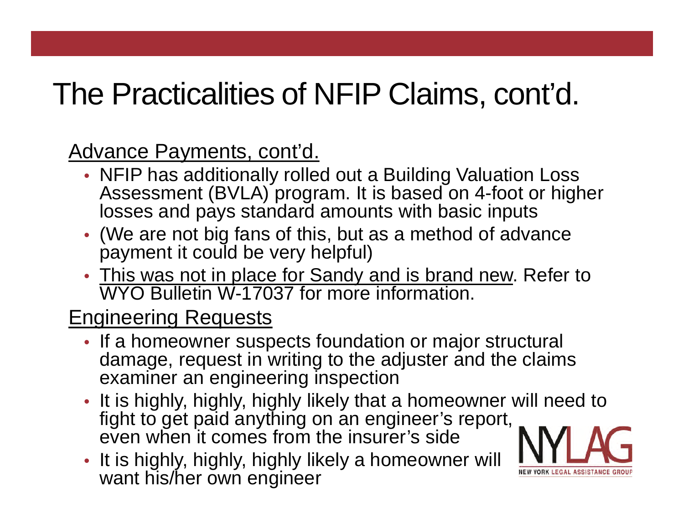Advance Payments, cont'd.

- NFIP has additionally rolled out a Building Valuation Loss Assessment (BVLA) program. It is based on 4-foot or higher losses and pays standard amounts with basic inputs
- (We are not big fans of this, but as a method of advance payment it could be very helpful)
- This was not in place for Sandy and is brand new. Refer to WYO Bulletin W-17037 for more information.

#### Engineering Requests

- If a homeowner suspects foundation or major structural damage, request in writing to the adjuster and the claims examiner an engineering inspection
- It is highly, highly, highly likely that a homeowner will need to fight to get paid anything on an engineer's report, even when it comes from the insurer's side
- It is highly, highly, highly likely a homeowner will want his/her own engineer

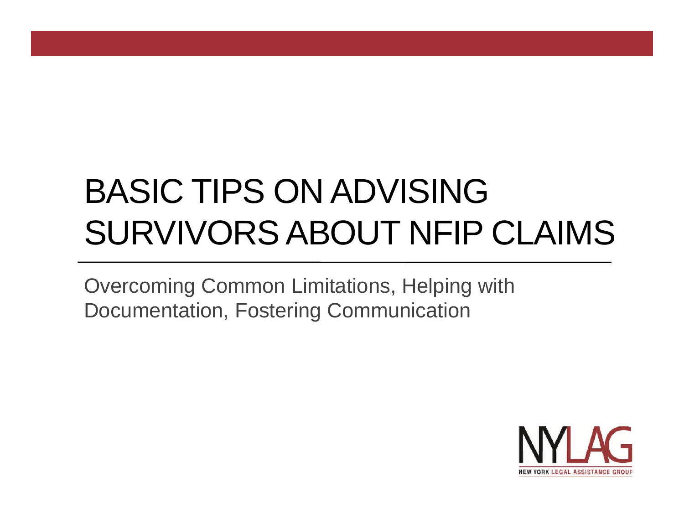# BASIC TIPS ON ADVISING SURVIVORS ABOUT NFIP CLAIMS

Overcoming Common Limitations, Helping with Documentation, Fostering Communication

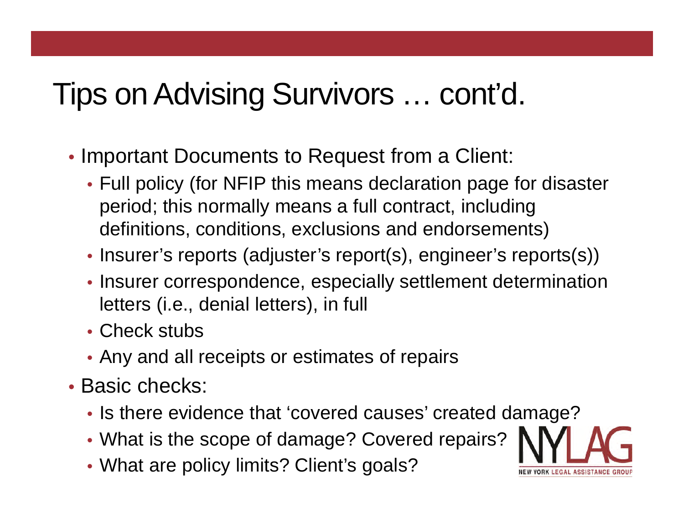- Important Documents to Request from a Client:
	- Full policy (for NFIP this means declaration page for disaster period; this normally means a full contract, including definitions, conditions, exclusions and endorsements)
	- Insurer's reports (adjuster's report(s), engineer's reports(s))
	- Insurer correspondence, especially settlement determination letters (i.e., denial letters), in full
	- Check stubs
	- Any and all receipts or estimates of repairs
- Basic checks:
	- Is there evidence that 'covered causes' created damage?
	- What is the scope of damage? Covered repairs?
	- What are policy limits? Client's goals?

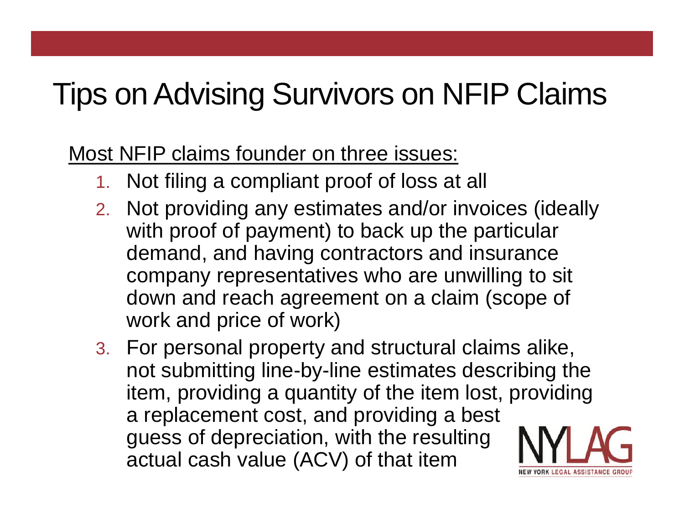# Tips on Advising Survivors on NFIP Claims

Most NFIP claims founder on three issues:

- 1. Not filing a compliant proof of loss at all
- 2. Not providing any estimates and/or invoices (ideally with proof of payment) to back up the particular demand, and having contractors and insurance company representatives who are unwilling to sit down and reach agreement on a claim (scope of work and price of work)
- 3. For personal property and structural claims alike, not submitting line-by-line estimates describing the item, providing a quantity of the item lost, providing a replacement cost, and providing a best guess of depreciation, with the resulting actual cash value (ACV) of that item RK LEGAL ASSISTANC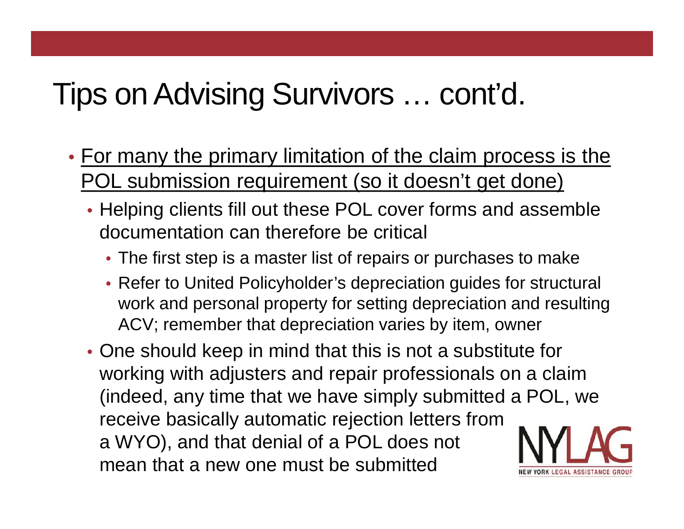- For many the primary limitation of the claim process is the POL submission requirement (so it doesn't get done)
	- Helping clients fill out these POL cover forms and assemble documentation can therefore be critical
		- The first step is a master list of repairs or purchases to make
		- Refer to United Policyholder's depreciation guides for structural work and personal property for setting depreciation and resulting ACV; remember that depreciation varies by item, owner
	- One should keep in mind that this is not a substitute for working with adjusters and repair professionals on a claim (indeed, any time that we have simply submitted a POL, we receive basically automatic rejection letters from a WYO), and that denial of a POL does not mean that a new one must be submitted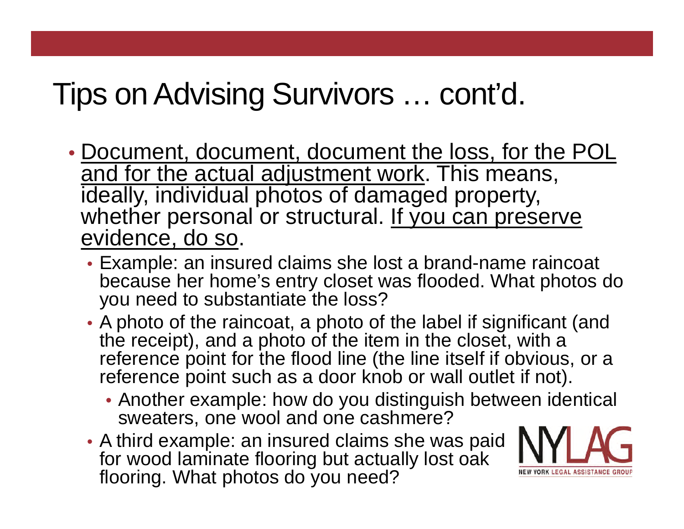- Document, document, document the loss, for the POL and for the actual adjustment work. This means, ideally, individual photos of damaged property, whether personal or structural. If you can preserve evidence, do so.
	- Example: an insured claims she lost a brand-name raincoat because her home's entry closet was flooded. What photos do you need to substantiate the loss?
	- A photo of the raincoat, a photo of the label if significant (and the receipt), and a photo of the item in the closet, with a reference point for the flood line (the line itself if obvious, or a reference point such as a door knob or wall outlet if not).
		- Another example: how do you distinguish between identical sweaters, one wool and one cashmere?
	- A third example: an insured claims she was paid for wood laminate flooring but actually lost oak flooring. What photos do you need?

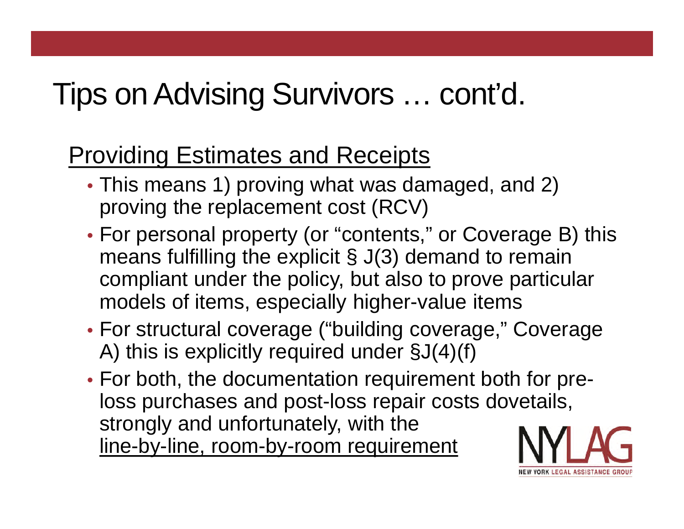#### Providing Estimates and Receipts

- This means 1) proving what was damaged, and 2) proving the replacement cost (RCV)
- For personal property (or "contents," or Coverage B) this means fulfilling the explicit § J(3) demand to remain compliant under the policy, but also to prove particular models of items, especially higher-value items
- For structural coverage ("building coverage," Coverage A) this is explicitly required under §J(4)(f)
- For both, the documentation requirement both for preloss purchases and post-loss repair costs dovetails, strongly and unfortunately, with the line-by-line, room-by-room requirement

RK LEGAL ASSISTANCE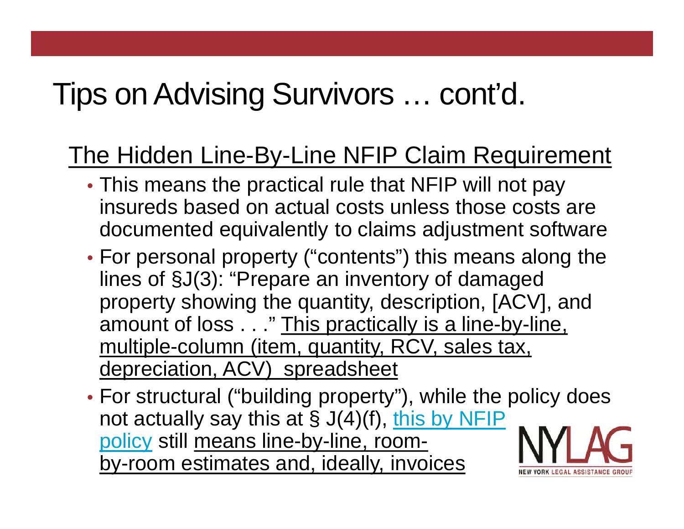#### The Hidden Line-By-Line NFIP Claim Requirement

- This means the practical rule that NFIP will not pay insureds based on actual costs unless those costs are documented equivalently to claims adjustment software
- For personal property ("contents") this means along the lines of §J(3): "Prepare an inventory of damaged property showing the quantity, description, [ACV], and amount of loss . . ." This practically is a line-by-line, multiple-column (item, quantity, RCV, sales tax, depreciation, ACV) spreadsheet
- For structural ("building property"), while the policy does not actually say this at  $\S J(4)(f)$ , this by NFIP policy still means line-by-line, roomby-room estimates and, ideally, invoices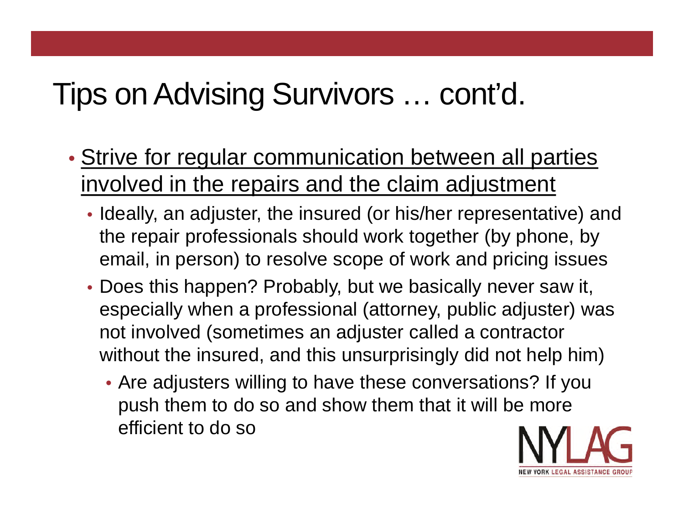- Strive for regular communication between all parties involved in the repairs and the claim adjustment
	- Ideally, an adjuster, the insured (or his/her representative) and the repair professionals should work together (by phone, by email, in person) to resolve scope of work and pricing issues
	- Does this happen? Probably, but we basically never saw it, especially when a professional (attorney, public adjuster) was not involved (sometimes an adjuster called a contractor without the insured, and this unsurprisingly did not help him)
		- Are adjusters willing to have these conversations? If you push them to do so and show them that it will be more efficient to do so

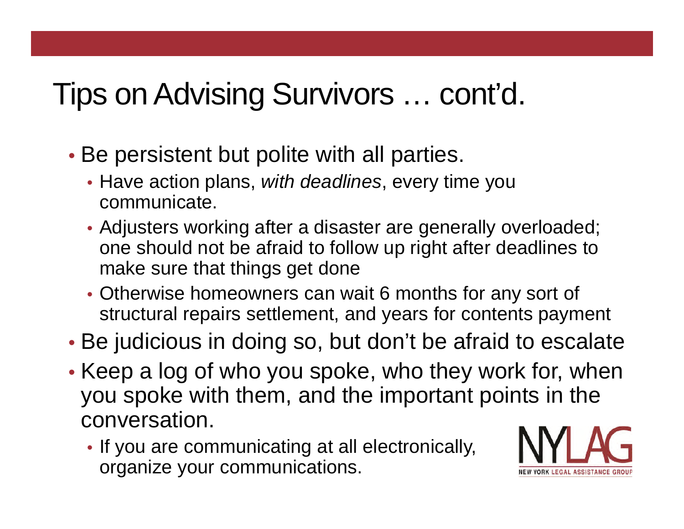- Be persistent but polite with all parties.
	- Have action plans, *with deadlines*, every time you communicate.
	- Adjusters working after a disaster are generally overloaded; one should not be afraid to follow up right after deadlines to make sure that things get done
	- Otherwise homeowners can wait 6 months for any sort of structural repairs settlement, and years for contents payment
- Be judicious in doing so, but don't be afraid to escalate
- Keep a log of who you spoke, who they work for, when you spoke with them, and the important points in the conversation.
	- If you are communicating at all electronically, organize your communications.

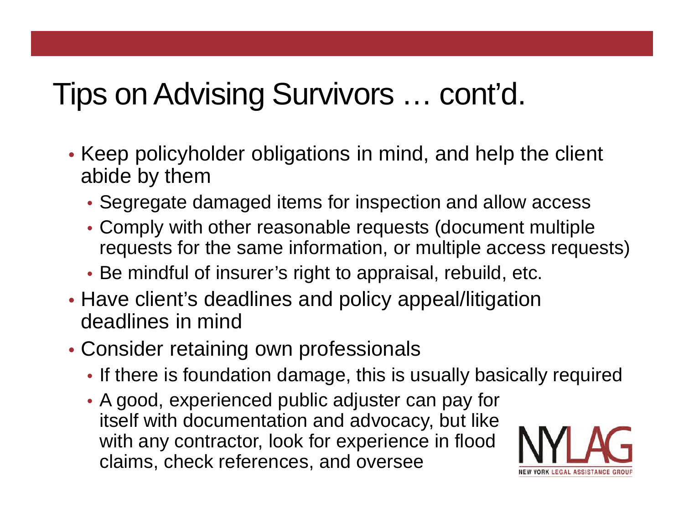- Keep policyholder obligations in mind, and help the client abide by them
	- Segregate damaged items for inspection and allow access
	- Comply with other reasonable requests (document multiple requests for the same information, or multiple access requests)
	- Be mindful of insurer's right to appraisal, rebuild, etc.
- Have client's deadlines and policy appeal/litigation deadlines in mind
- Consider retaining own professionals
	- If there is foundation damage, this is usually basically required
	- A good, experienced public adjuster can pay for itself with documentation and advocacy, but like with any contractor, look for experience in flood claims, check references, and oversee

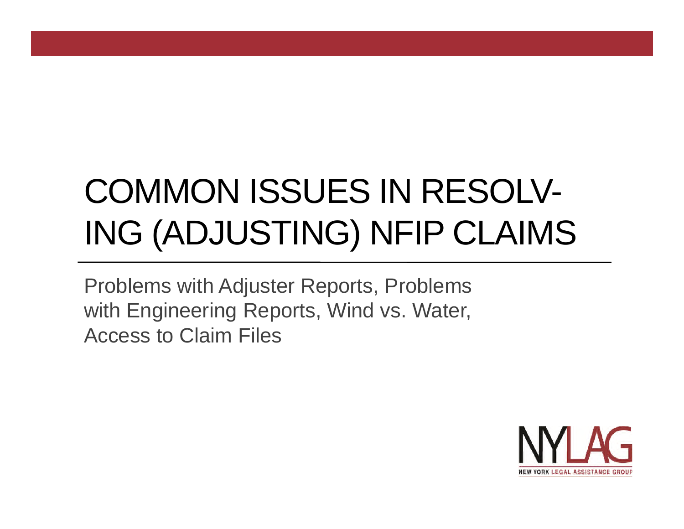# COMMON ISSUES IN RESOLV-ING (ADJUSTING) NFIP CLAIMS

Problems with Adjuster Reports, Problems with Engineering Reports, Wind vs. Water, Access to Claim Files

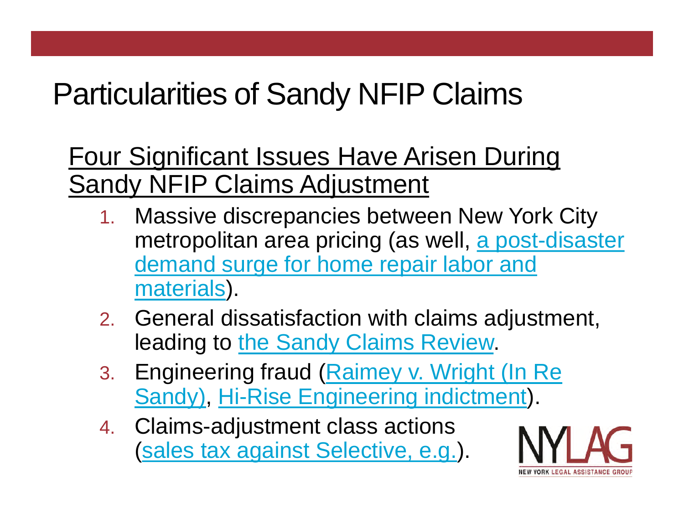# Particularities of Sandy NFIP Claims

Four Significant Issues Have Arisen During Sandy NFIP Claims Adjustment

- 1. Massive discrepancies between New York City metropolitan area pricing (as well, a post-disaster demand surge for home repair labor and materials).
- 2. General dissatisfaction with claims adjustment, leading to the Sandy Claims Review.
- 3. Engineering fraud (Raimey v. Wright (In Re Sandy), Hi-Rise Engineering indictment).
- 4. Claims-adjustment class actions (sales tax against Selective, e.g.).

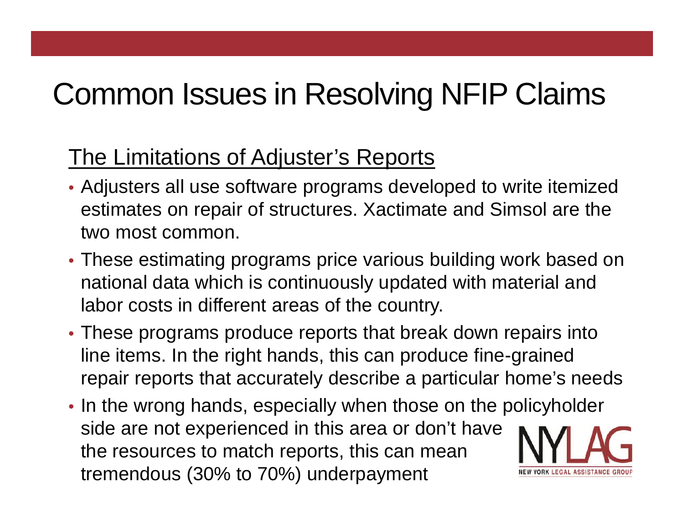## Common Issues in Resolving NFIP Claims

#### The Limitations of Adjuster's Reports

- Adjusters all use software programs developed to write itemized estimates on repair of structures. Xactimate and Simsol are the two most common.
- These estimating programs price various building work based on national data which is continuously updated with material and labor costs in different areas of the country.
- These programs produce reports that break down repairs into line items. In the right hands, this can produce fine-grained repair reports that accurately describe a particular home's needs
- In the wrong hands, especially when those on the policyholder side are not experienced in this area or don't have the resources to match reports, this can mean tremendous (30% to 70%) underpayment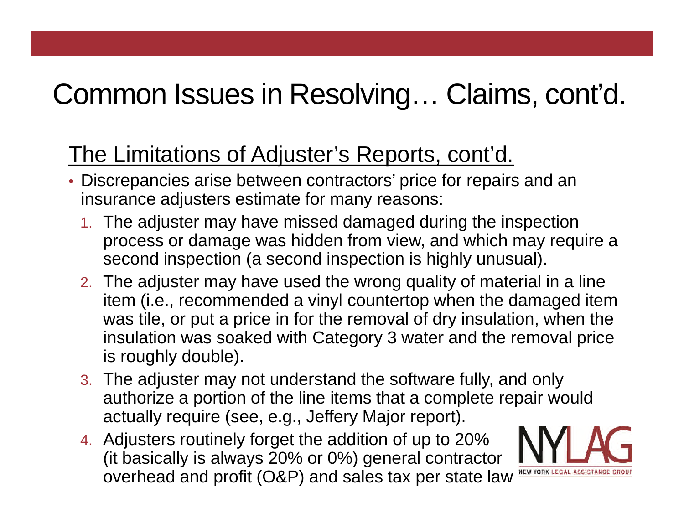#### The Limitations of Adjuster's Reports, cont'd.

- Discrepancies arise between contractors' price for repairs and an insurance adjusters estimate for many reasons:
	- 1. The adjuster may have missed damaged during the inspection process or damage was hidden from view, and which may require a second inspection (a second inspection is highly unusual).
	- 2. The adjuster may have used the wrong quality of material in a line item (i.e., recommended a vinyl countertop when the damaged item was tile, or put a price in for the removal of dry insulation, when the insulation was soaked with Category 3 water and the removal price is roughly double).
	- 3. The adjuster may not understand the software fully, and only authorize a portion of the line items that a complete repair would actually require (see, e.g., Jeffery Major report).
	- 4. Adjusters routinely forget the addition of up to 20% (it basically is always 20% or 0%) general contractor OVerhead and profit (O&P) and sales tax per state law NEW YORK LEGAL ASSISTAN

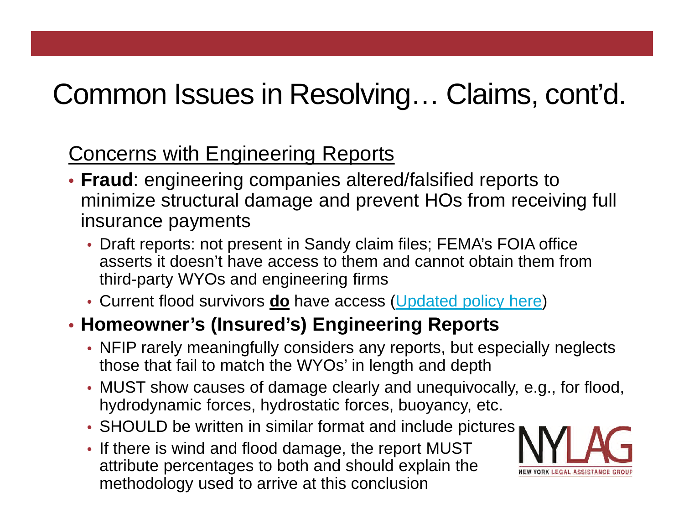#### Concerns with Engineering Reports

- **Fraud**: engineering companies altered/falsified reports to minimize structural damage and prevent HOs from receiving full insurance payments
	- Draft reports: not present in Sandy claim files; FEMA's FOIA office asserts it doesn't have access to them and cannot obtain them from third-party WYOs and engineering firms
	- Current flood survivors **do** have access (Updated policy here)

#### • **Homeowner's (Insured's) Engineering Reports**

- NFIP rarely meaningfully considers any reports, but especially neglects those that fail to match the WYOs' in length and depth
- MUST show causes of damage clearly and unequivocally, e.g., for flood, hydrodynamic forces, hydrostatic forces, buoyancy, etc.
- SHOULD be written in similar format and include pictures
- If there is wind and flood damage, the report MUST attribute percentages to both and should explain the methodology used to arrive at this conclusion

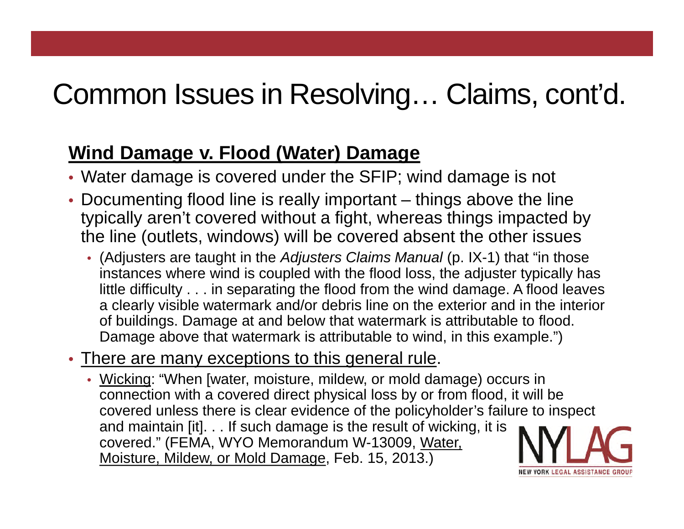#### **Wind Damage v. Flood (Water) Damage**

- Water damage is covered under the SFIP; wind damage is not
- Documenting flood line is really important things above the line typically aren't covered without a fight, whereas things impacted by the line (outlets, windows) will be covered absent the other issues
	- (Adjusters are taught in the *Adjusters Claims Manual* (p. IX-1) that "in those instances where wind is coupled with the flood loss, the adjuster typically has little difficulty . . . in separating the flood from the wind damage. A flood leaves a clearly visible watermark and/or debris line on the exterior and in the interior of buildings. Damage at and below that watermark is attributable to flood. Damage above that watermark is attributable to wind, in this example.")
- There are many exceptions to this general rule.
	- Wicking: "When [water, moisture, mildew, or mold damage) occurs in connection with a covered direct physical loss by or from flood, it will be covered unless there is clear evidence of the policyholder's failure to inspect and maintain [it]. . . If such damage is the result of wicking, it is covered." (FEMA, WYO Memorandum W-13009, Water, Moisture, Mildew, or Mold Damage, Feb. 15, 2013.)

ORK LEGAL ASSISTANCE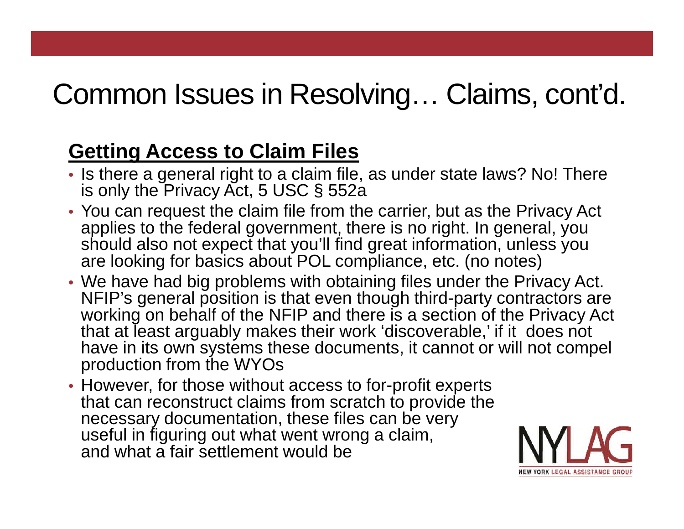#### **Getting Access to Claim Files**

- Is there a general right to a claim file, as under state laws? No! There is only the Privacy Act, 5 USC § 552a
- You can request the claim file from the carrier, but as the Privacy Act applies to the federal government, there is no right. In general, you should also not expect that you'll find great information, unless you are looking for basics about POL compliance, etc. (no notes)
- We have had big problems with obtaining files under the Privacy Act. NFIP's general position is that even though third-party contractors are working on behalf of the NFIP and there is a section of the Privacy Act that at least arguably makes their work 'discoverable,' if it does not have in its own systems these documents, it cannot or will not compel production from the WYOs
- However, for those without access to for-profit experts that can reconstruct claims from scratch to provide the necessary documentation, these files can be very useful in figuring out what went wrong a claim, and what a fair settlement would be

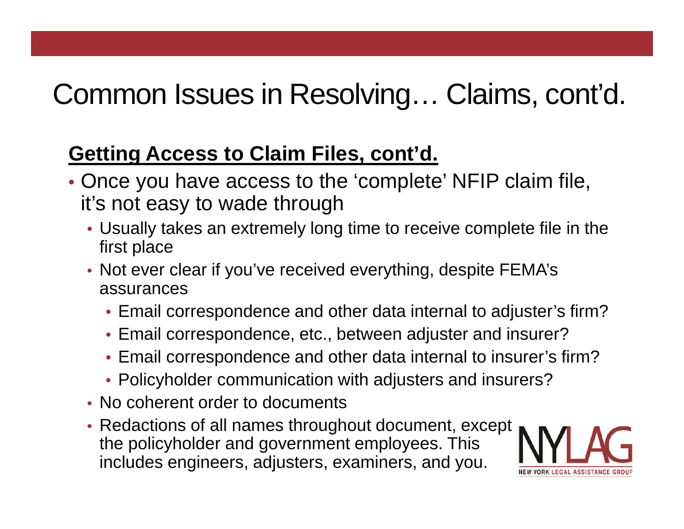#### **Getting Access to Claim Files, cont'd.**

- Once you have access to the 'complete' NFIP claim file, it's not easy to wade through
	- Usually takes an extremely long time to receive complete file in the first place
	- Not ever clear if you've received everything, despite FEMA's assurances
		- Email correspondence and other data internal to adjuster's firm?
		- Email correspondence, etc., between adjuster and insurer?
		- Email correspondence and other data internal to insurer's firm?
		- Policyholder communication with adjusters and insurers?
	- No coherent order to documents
	- Redactions of all names throughout document, except the policyholder and government employees. This includes engineers, adjusters, examiners, and you.

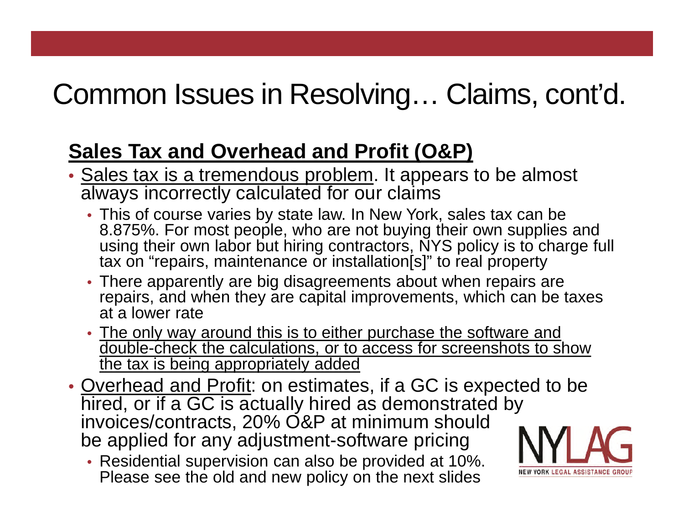#### **Sales Tax and Overhead and Profit (O&P)**

- Sales tax is a tremendous problem. It appears to be almost always incorrectly calculated for our claims
	- This of course varies by state law. In New York, sales tax can be 8.875%. For most people, who are not buying their own supplies and using their own labor but hiring contractors, NYS policy is to charge full tax on "repairs, maintenance or installation [s]" to real property
	- There apparently are big disagreements about when repairs are repairs, and when they are capital improvements, which can be taxes at a lower rate
	- The only way around this is to either purchase the software and double-check the calculations, or to access for screenshots to show the tax is being appropriately added
- Overhead and Profit: on estimates, if a GC is expected to be hired, or if a GC is actually hired as demonstrated by invoices/contracts, 20% O&P at minimum should be applied for any adjustment-software pricing
	- Residential supervision can also be provided at 10%. Please see the old and new policy on the next slides

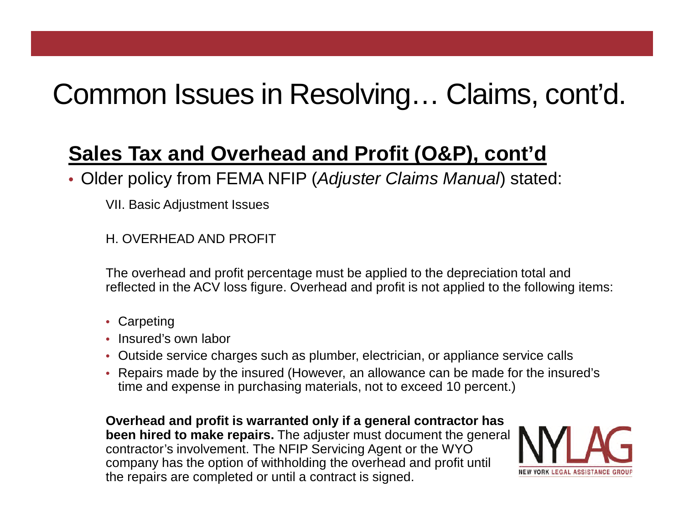#### **Sales Tax and Overhead and Profit (O&P), cont'd**

• Older policy from FEMA NFIP (*Adjuster Claims Manual*) stated:

VII. Basic Adjustment Issues

H. OVERHEAD AND PROFIT

The overhead and profit percentage must be applied to the depreciation total and reflected in the ACV loss figure. Overhead and profit is not applied to the following items:

- Carpeting
- Insured's own labor
- Outside service charges such as plumber, electrician, or appliance service calls
- Repairs made by the insured (However, an allowance can be made for the insured's time and expense in purchasing materials, not to exceed 10 percent.)

**Overhead and profit is warranted only if a general contractor has been hired to make repairs.** The adjuster must document the general contractor's involvement. The NFIP Servicing Agent or the WYO company has the option of withholding the overhead and profit until the repairs are completed or until a contract is signed.

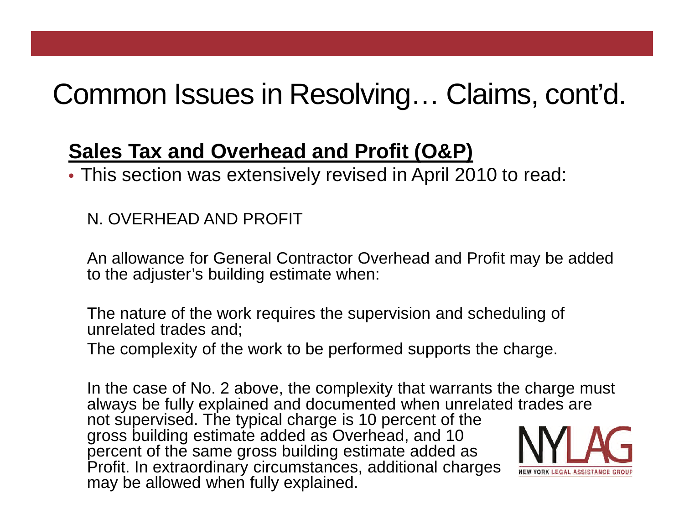#### **Sales Tax and Overhead and Profit (O&P)**

• This section was extensively revised in April 2010 to read:

N. OVERHEAD AND PROFIT

An allowance for General Contractor Overhead and Profit may be added to the adjuster's building estimate when:

The nature of the work requires the supervision and scheduling of unrelated trades and;

The complexity of the work to be performed supports the charge.

In the case of No. 2 above, the complexity that warrants the charge must always be fully explained and documented when unrelated trades are not supervised. The typical charge is 10 percent of the gross building estimate added as Overhead, and 10 percent of the same gross building estimate added as Profit. In extraordinary circumstances, additional charges *NEW YORK LEGAL ASSISTAND* may be allowed when fully explained.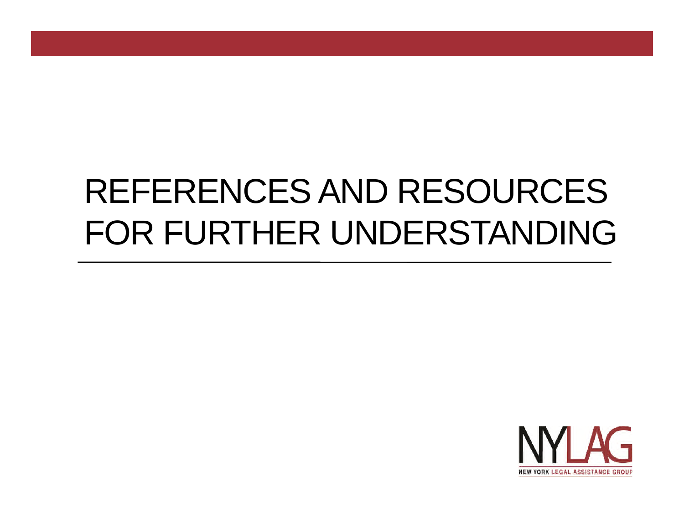# REFERENCES AND RESOURCES FOR FURTHER UNDERSTANDING

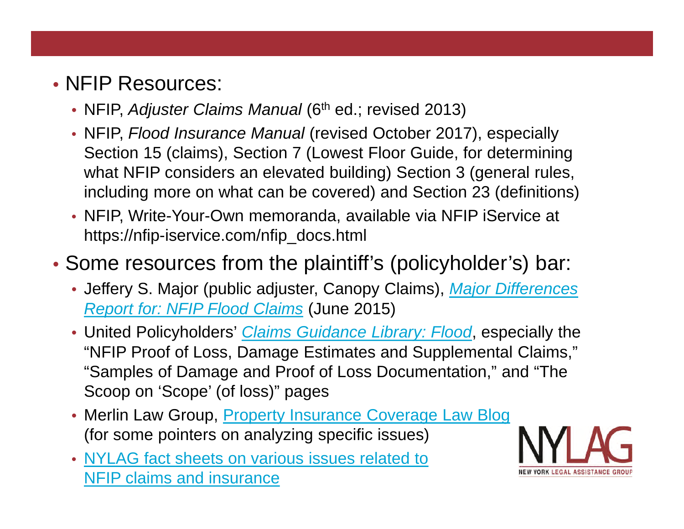#### • **NFIP Resources:**

- NFIP, *Adjuster Claims Manual* (6<sup>th</sup> ed.; revised 2013)
- NFIP, *Flood Insurance Manual* (revised October 2017), especially Section 15 (claims), Section 7 (Lowest Floor Guide, for determining what NFIP considers an elevated building) Section 3 (general rules, including more on what can be covered) and Section 23 (definitions)
- NFIP, Write-Your-Own memoranda, available via NFIP iService at https://nfip-iservice.com/nfip\_docs.html

#### • Some resources from the plaintiff's (policyholder's) bar:

- Jeffery S. Major (public adjuster, Canopy Claims), *Major Differences Report for: NFIP Flood Claims* (June 2015)
- United Policyholders' *Claims Guidance Library: Flood*, especially the "NFIP Proof of Loss, Damage Estimates and Supplemental Claims," "Samples of Damage and Proof of Loss Documentation," and "The Scoop on 'Scope' (of loss)" pages
- Merlin Law Group, Property Insurance Coverage Law Blog (for some pointers on analyzing specific issues)
- NYLAG fact sheets on various issues related to NFIP claims and insurance